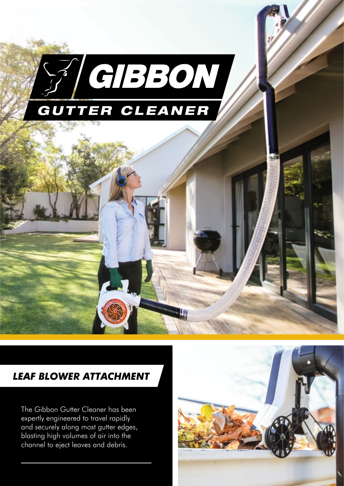

#### *LEAF BLOWER Attachment*

The Gibbon Gutter Cleaner has been expertly engineered to travel rapidly and securely along most gutter edges, blasting high volumes of air into the channel to eject leaves and debris.

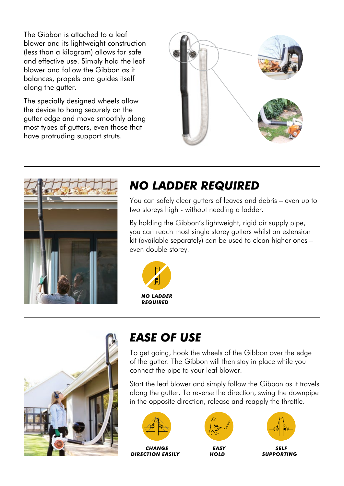The Gibbon is attached to a leaf blower and its lightweight construction (less than a kilogram) allows for safe and effective use. Simply hold the leaf blower and follow the Gibbon as it balances, propels and guides itself along the gutter.

The specially designed wheels allow the device to hang securely on the gutter edge and move smoothly along most types of gutters, even those that have protruding support struts.





## *NO LADDER REQUIRED*

You can safely clear gutters of leaves and debris – even up to two storeys high - without needing a ladder.

By holding the Gibbon's lightweight, rigid air supply pipe, you can reach most single storey gutters whilst an extension kit (available separately) can be used to clean higher ones – even double storey.





## *EASE OF USE*

To get going, hook the wheels of the Gibbon over the edge of the gutter. The Gibbon will then stay in place while you connect the pipe to your leaf blower.

Start the leaf blower and simply follow the Gibbon as it travels along the gutter. To reverse the direction, swing the downpipe in the opposite direction, release and reapply the throttle.







*EASY HOLD*



*self supporting*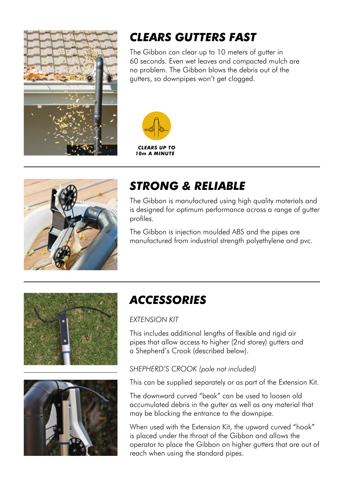

# *CLEARS GUTTERS FAST*

The Gibbon can clear up to 10 meters of gutter in 60 seconds. Even wet leaves and compacted mulch are no problem. The Gibbon blows the debris out of the gutters, so downpipes won't get clogged.





### *STRONG & RELIABLE*

The Gibbon is manufactured using high quality materials and is designed for optimum performance across a range of gutter profiles.

The Gibbon is injection moulded ABS and the pipes are manufactured from industrial strength polyethylene and pvc.





# *Accessories*

#### *Extension Kit*

This includes additional lengths of flexible and rigid air pipes that allow access to higher (2nd storey) gutters and a Shepherd's Crook (described below).

#### *Shepherd's Crook (pole not included)*

This can be supplied separately or as part of the Extension Kit.

The downward curved "beak" can be used to loosen old accumulated debris in the gutter as well as any material that may be blocking the entrance to the downpipe.

When used with the Extension Kit, the upward curved "hook" is placed under the throat of the Gibbon and allows the operator to place the Gibbon on higher gutters that are out of reach when using the standard pipes.